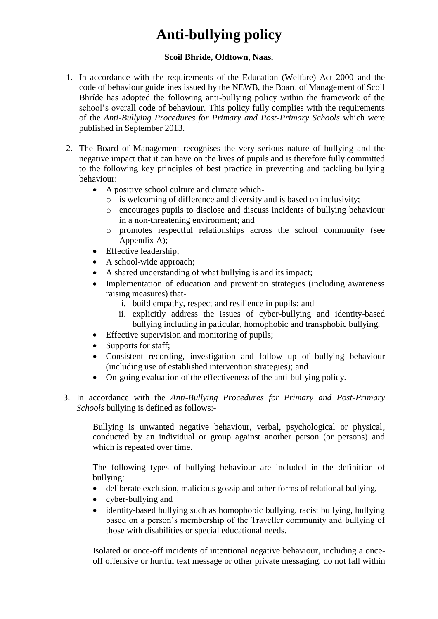# **Anti-bullying policy**

#### **Scoil Bhríde, Oldtown, Naas.**

- 1. In accordance with the requirements of the Education (Welfare) Act 2000 and the code of behaviour guidelines issued by the NEWB, the Board of Management of Scoil Bhríde has adopted the following anti-bullying policy within the framework of the school's overall code of behaviour. This policy fully complies with the requirements of the *Anti-Bullying Procedures for Primary and Post-Primary Schools* which were published in September 2013.
- 2. The Board of Management recognises the very serious nature of bullying and the negative impact that it can have on the lives of pupils and is therefore fully committed to the following key principles of best practice in preventing and tackling bullying behaviour:
	- A positive school culture and climate which
		- o is welcoming of difference and diversity and is based on inclusivity;
		- o encourages pupils to disclose and discuss incidents of bullying behaviour in a non-threatening environment; and
		- o promotes respectful relationships across the school community (see Appendix A);
	- Effective leadership;
	- A school-wide approach;
	- A shared understanding of what bullying is and its impact;
	- Implementation of education and prevention strategies (including awareness raising measures) that
		- i. build empathy, respect and resilience in pupils; and
		- ii. explicitly address the issues of cyber-bullying and identity-based bullying including in paticular, homophobic and transphobic bullying.
	- Effective supervision and monitoring of pupils;
	- Supports for staff;
	- Consistent recording, investigation and follow up of bullying behaviour (including use of established intervention strategies); and
	- On-going evaluation of the effectiveness of the anti-bullying policy.
- 3. In accordance with the *Anti-Bullying Procedures for Primary and Post-Primary Schools* bullying is defined as follows:-

Bullying is unwanted negative behaviour, verbal, psychological or physical, conducted by an individual or group against another person (or persons) and which is repeated over time.

The following types of bullying behaviour are included in the definition of bullying:

- deliberate exclusion, malicious gossip and other forms of relational bullying,
- cyber-bullying and
- identity-based bullying such as homophobic bullying, racist bullying, bullying based on a person's membership of the Traveller community and bullying of those with disabilities or special educational needs.

Isolated or once-off incidents of intentional negative behaviour, including a onceoff offensive or hurtful text message or other private messaging, do not fall within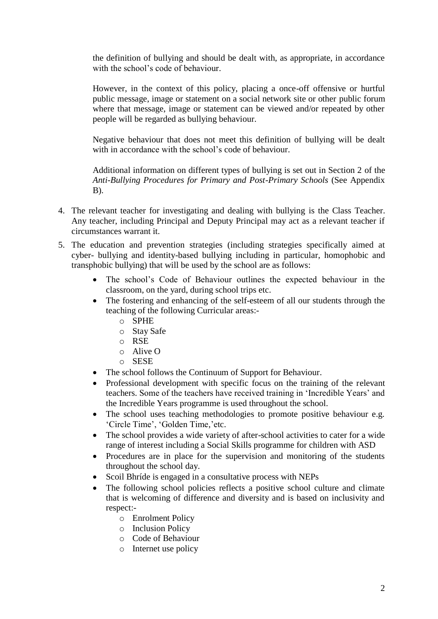the definition of bullying and should be dealt with, as appropriate, in accordance with the school's code of behaviour.

However, in the context of this policy, placing a once-off offensive or hurtful public message, image or statement on a social network site or other public forum where that message, image or statement can be viewed and/or repeated by other people will be regarded as bullying behaviour.

Negative behaviour that does not meet this definition of bullying will be dealt with in accordance with the school's code of behaviour.

Additional information on different types of bullying is set out in Section 2 of the *Anti-Bullying Procedures for Primary and Post-Primary Schools* (See Appendix  $B)$ .

- 4. The relevant teacher for investigating and dealing with bullying is the Class Teacher. Any teacher, including Principal and Deputy Principal may act as a relevant teacher if circumstances warrant it.
- 5. The education and prevention strategies (including strategies specifically aimed at cyber- bullying and identity-based bullying including in particular, homophobic and transphobic bullying) that will be used by the school are as follows:
	- The school's Code of Behaviour outlines the expected behaviour in the classroom, on the yard, during school trips etc.
	- The fostering and enhancing of the self-esteem of all our students through the teaching of the following Curricular areas:
		- o SPHE
		- o Stay Safe
		- o RSE
		- o Alive O
		- o SESE
	- The school follows the Continuum of Support for Behaviour.
	- Professional development with specific focus on the training of the relevant teachers. Some of the teachers have received training in 'Incredible Years' and the Incredible Years programme is used throughout the school.
	- The school uses teaching methodologies to promote positive behaviour e.g. 'Circle Time', 'Golden Time,'etc.
	- The school provides a wide variety of after-school activities to cater for a wide range of interest including a Social Skills programme for children with ASD
	- Procedures are in place for the supervision and monitoring of the students throughout the school day.
	- Scoil Bhríde is engaged in a consultative process with NEPs
	- The following school policies reflects a positive school culture and climate that is welcoming of difference and diversity and is based on inclusivity and respect:
		- o Enrolment Policy
		- o Inclusion Policy
		- o Code of Behaviour
		- o Internet use policy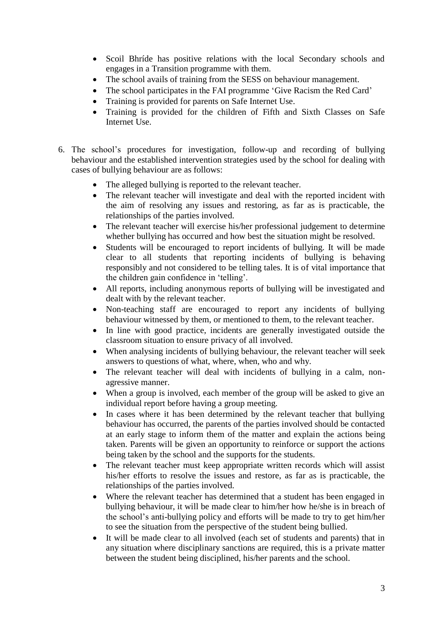- Scoil Bhríde has positive relations with the local Secondary schools and engages in a Transition programme with them.
- The school avails of training from the SESS on behaviour management.
- The school participates in the FAI programme 'Give Racism the Red Card'
- Training is provided for parents on Safe Internet Use.
- Training is provided for the children of Fifth and Sixth Classes on Safe Internet Use.
- 6. The school's procedures for investigation, follow-up and recording of bullying behaviour and the established intervention strategies used by the school for dealing with cases of bullying behaviour are as follows:
	- The alleged bullying is reported to the relevant teacher.
	- The relevant teacher will investigate and deal with the reported incident with the aim of resolving any issues and restoring, as far as is practicable, the relationships of the parties involved.
	- The relevant teacher will exercise his/her professional judgement to determine whether bullying has occurred and how best the situation might be resolved.
	- Students will be encouraged to report incidents of bullying. It will be made clear to all students that reporting incidents of bullying is behaving responsibly and not considered to be telling tales. It is of vital importance that the children gain confidence in 'telling'.
	- All reports, including anonymous reports of bullying will be investigated and dealt with by the relevant teacher.
	- Non-teaching staff are encouraged to report any incidents of bullying behaviour witnessed by them, or mentioned to them, to the relevant teacher.
	- In line with good practice, incidents are generally investigated outside the classroom situation to ensure privacy of all involved.
	- When analysing incidents of bullying behaviour, the relevant teacher will seek answers to questions of what, where, when, who and why.
	- The relevant teacher will deal with incidents of bullying in a calm, nonagressive manner.
	- When a group is involved, each member of the group will be asked to give an individual report before having a group meeting.
	- In cases where it has been determined by the relevant teacher that bullying behaviour has occurred, the parents of the parties involved should be contacted at an early stage to inform them of the matter and explain the actions being taken. Parents will be given an opportunity to reinforce or support the actions being taken by the school and the supports for the students.
	- The relevant teacher must keep appropriate written records which will assist his/her efforts to resolve the issues and restore, as far as is practicable, the relationships of the parties involved.
	- Where the relevant teacher has determined that a student has been engaged in bullying behaviour, it will be made clear to him/her how he/she is in breach of the school's anti-bullying policy and efforts will be made to try to get him/her to see the situation from the perspective of the student being bullied.
	- It will be made clear to all involved (each set of students and parents) that in any situation where disciplinary sanctions are required, this is a private matter between the student being disciplined, his/her parents and the school.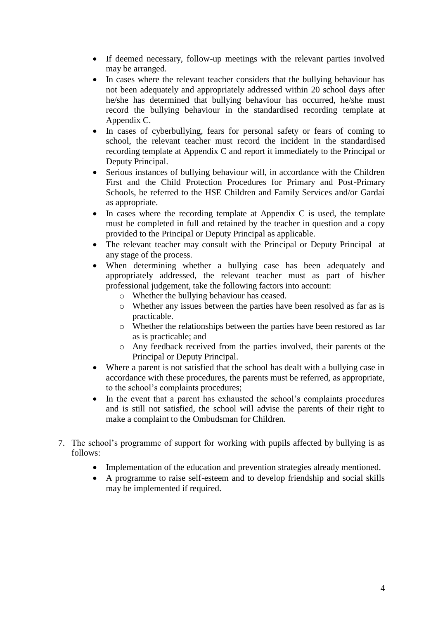- If deemed necessary, follow-up meetings with the relevant parties involved may be arranged.
- In cases where the relevant teacher considers that the bullying behaviour has not been adequately and appropriately addressed within 20 school days after he/she has determined that bullying behaviour has occurred, he/she must record the bullying behaviour in the standardised recording template at Appendix C.
- In cases of cyberbullying, fears for personal safety or fears of coming to school, the relevant teacher must record the incident in the standardised recording template at Appendix C and report it immediately to the Principal or Deputy Principal.
- Serious instances of bullying behaviour will, in accordance with the Children First and the Child Protection Procedures for Primary and Post-Primary Schools, be referred to the HSE Children and Family Services and/or Gardaí as appropriate.
- In cases where the recording template at Appendix C is used, the template must be completed in full and retained by the teacher in question and a copy provided to the Principal or Deputy Principal as applicable.
- The relevant teacher may consult with the Principal or Deputy Principal at any stage of the process.
- When determining whether a bullying case has been adequately and appropriately addressed, the relevant teacher must as part of his/her professional judgement, take the following factors into account:
	- o Whether the bullying behaviour has ceased.
	- o Whether any issues between the parties have been resolved as far as is practicable.
	- o Whether the relationships between the parties have been restored as far as is practicable; and
	- o Any feedback received from the parties involved, their parents ot the Principal or Deputy Principal.
- Where a parent is not satisfied that the school has dealt with a bullying case in accordance with these procedures, the parents must be referred, as appropriate, to the school's complaints procedures;
- In the event that a parent has exhausted the school's complaints procedures and is still not satisfied, the school will advise the parents of their right to make a complaint to the Ombudsman for Children.
- 7. The school's programme of support for working with pupils affected by bullying is as follows:
	- Implementation of the education and prevention strategies already mentioned.
	- A programme to raise self-esteem and to develop friendship and social skills may be implemented if required.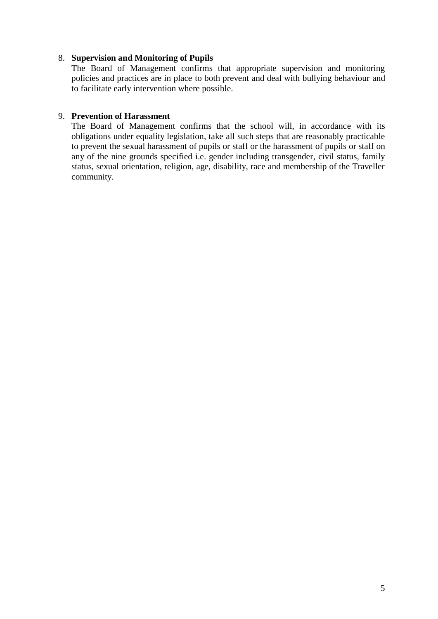#### 8. **Supervision and Monitoring of Pupils**

The Board of Management confirms that appropriate supervision and monitoring policies and practices are in place to both prevent and deal with bullying behaviour and to facilitate early intervention where possible.

#### 9. **Prevention of Harassment**

The Board of Management confirms that the school will, in accordance with its obligations under equality legislation, take all such steps that are reasonably practicable to prevent the sexual harassment of pupils or staff or the harassment of pupils or staff on any of the nine grounds specified i.e. gender including transgender, civil status, family status, sexual orientation, religion, age, disability, race and membership of the Traveller community.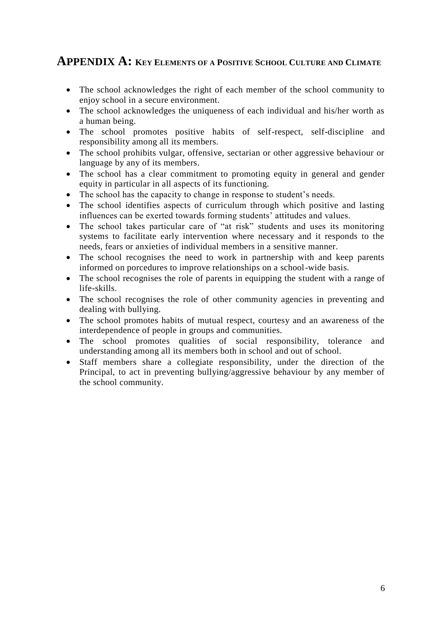### **APPENDIX A: <sup>K</sup>EY ELEMENTS OF A POSITIVE SCHOOL CULTURE AND CLIMATE**

- The school acknowledges the right of each member of the school community to enjoy school in a secure environment.
- The school acknowledges the uniqueness of each individual and his/her worth as a human being.
- The school promotes positive habits of self-respect, self-discipline and responsibility among all its members.
- The school prohibits vulgar, offensive, sectarian or other aggressive behaviour or language by any of its members.
- The school has a clear commitment to promoting equity in general and gender equity in particular in all aspects of its functioning.
- The school has the capacity to change in response to student's needs.
- The school identifies aspects of curriculum through which positive and lasting influences can be exerted towards forming students' attitudes and values.
- The school takes particular care of "at risk" students and uses its monitoring systems to facilitate early intervention where necessary and it responds to the needs, fears or anxieties of individual members in a sensitive manner.
- The school recognises the need to work in partnership with and keep parents informed on porcedures to improve relationships on a school-wide basis.
- The school recognises the role of parents in equipping the student with a range of life-skills.
- The school recognises the role of other community agencies in preventing and dealing with bullying.
- The school promotes habits of mutual respect, courtesy and an awareness of the interdependence of people in groups and communities.
- The school promotes qualities of social responsibility, tolerance and understanding among all its members both in school and out of school.
- Staff members share a collegiate responsibility, under the direction of the Principal, to act in preventing bullying/aggressive behaviour by any member of the school community.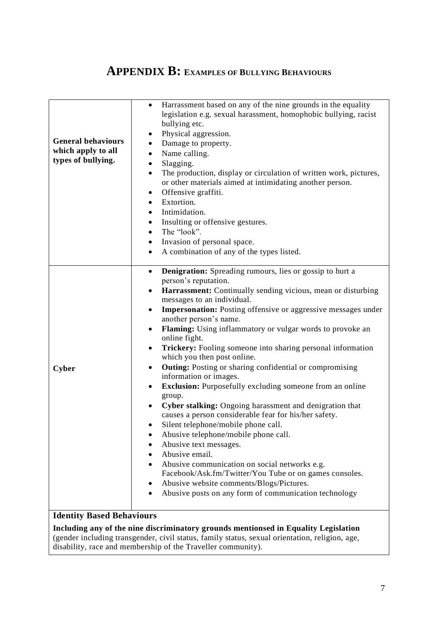# **APPENDIX B: <sup>E</sup>XAMPLES OF BULLYING BEHAVIOURS**

| <b>General behaviours</b><br>which apply to all<br>types of bullying. | Harrassment based on any of the nine grounds in the equality<br>٠<br>legislation e.g. sexual harassment, homophobic bullying, racist<br>bullying etc.<br>Physical aggression.<br>$\bullet$<br>Damage to property.<br>Name calling.<br>Slagging.<br>The production, display or circulation of written work, pictures,<br>$\bullet$<br>or other materials aimed at intimidating another person.<br>Offensive graffiti.<br>٠<br>Extortion.<br>$\bullet$<br>Intimidation.<br>٠<br>Insulting or offensive gestures.<br>$\bullet$<br>The "look".<br>$\bullet$<br>Invasion of personal space.<br>$\bullet$<br>A combination of any of the types listed.<br>٠                                                                                                                                                                                                                                                                                                                                                                                                                                                                                                                                          |
|-----------------------------------------------------------------------|------------------------------------------------------------------------------------------------------------------------------------------------------------------------------------------------------------------------------------------------------------------------------------------------------------------------------------------------------------------------------------------------------------------------------------------------------------------------------------------------------------------------------------------------------------------------------------------------------------------------------------------------------------------------------------------------------------------------------------------------------------------------------------------------------------------------------------------------------------------------------------------------------------------------------------------------------------------------------------------------------------------------------------------------------------------------------------------------------------------------------------------------------------------------------------------------|
| <b>Cyber</b>                                                          | <b>Denigration:</b> Spreading rumours, lies or gossip to hurt a<br>$\bullet$<br>person's reputation.<br>Harrassment: Continually sending vicious, mean or disturbing<br>$\bullet$<br>messages to an individual.<br><b>Impersonation:</b> Posting offensive or aggressive messages under<br>$\bullet$<br>another person's name.<br>Flaming: Using inflammatory or vulgar words to provoke an<br>$\bullet$<br>online fight.<br>Trickery: Fooling someone into sharing personal information<br>٠<br>which you then post online.<br><b>Outing:</b> Posting or sharing confidential or compromising<br>$\bullet$<br>information or images.<br><b>Exclusion:</b> Purposefully excluding someone from an online<br>$\bullet$<br>group.<br>Cyber stalking: Ongoing harassment and denigration that<br>causes a person considerable fear for his/her safety.<br>Silent telephone/mobile phone call.<br>Abusive telephone/mobile phone call.<br>Abusive text messages.<br>Abusive email.<br>Abusive communication on social networks e.g.<br>Facebook/Ask.fm/Twitter/You Tube or on games consoles.<br>Abusive website comments/Blogs/Pictures.<br>Abusive posts on any form of communication technology |
| <b>Identity Based Behaviours</b>                                      |                                                                                                                                                                                                                                                                                                                                                                                                                                                                                                                                                                                                                                                                                                                                                                                                                                                                                                                                                                                                                                                                                                                                                                                                |

**Including any of the nine discriminatory grounds mentionsed in Equality Legislation**  (gender including transgender, civil status, family status, sexual orientation, religion, age, disability, race and membership of the Traveller community).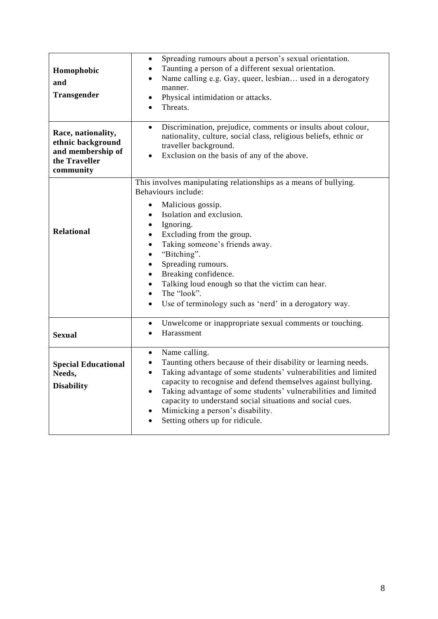| Homophobic<br>and<br>Transgender<br>Race, nationality,<br>ethnic background | Spreading rumours about a person's sexual orientation.<br>$\bullet$<br>Taunting a person of a different sexual orientation.<br>Name calling e.g. Gay, queer, lesbian used in a derogatory<br>manner.<br>Physical intimidation or attacks.<br>Threats.<br>Discrimination, prejudice, comments or insults about colour,<br>$\bullet$<br>nationality, culture, social class, religious beliefs, ethnic or<br>traveller background.                                                                                                                               |
|-----------------------------------------------------------------------------|---------------------------------------------------------------------------------------------------------------------------------------------------------------------------------------------------------------------------------------------------------------------------------------------------------------------------------------------------------------------------------------------------------------------------------------------------------------------------------------------------------------------------------------------------------------|
| and membership of<br>the Traveller<br>community                             | Exclusion on the basis of any of the above.<br>$\bullet$                                                                                                                                                                                                                                                                                                                                                                                                                                                                                                      |
| <b>Relational</b>                                                           | This involves manipulating relationships as a means of bullying.<br>Behaviours include:<br>Malicious gossip.<br>$\bullet$<br>Isolation and exclusion.<br>$\bullet$<br>Ignoring.<br>$\bullet$<br>Excluding from the group.<br>$\bullet$<br>Taking someone's friends away.<br>$\bullet$<br>"Bitching".<br>$\bullet$<br>Spreading rumours.<br>$\bullet$<br>Breaking confidence.<br>$\bullet$<br>Talking loud enough so that the victim can hear.<br>$\bullet$<br>The "look".<br>$\bullet$<br>Use of terminology such as 'nerd' in a derogatory way.<br>$\bullet$ |
| <b>Sexual</b>                                                               | Unwelcome or inappropriate sexual comments or touching.<br>$\bullet$<br>Harassment<br>$\bullet$                                                                                                                                                                                                                                                                                                                                                                                                                                                               |
| <b>Special Educational</b><br>Needs,<br><b>Disability</b>                   | Name calling.<br>$\bullet$<br>Taunting others because of their disability or learning needs.<br>$\bullet$<br>Taking advantage of some students' vulnerabilities and limited<br>$\bullet$<br>capacity to recognise and defend themselves against bullying.<br>Taking advantage of some students' vulnerabilities and limited<br>$\bullet$<br>capacity to understand social situations and social cues.<br>Mimicking a person's disability.<br>$\bullet$<br>Setting others up for ridicule.                                                                     |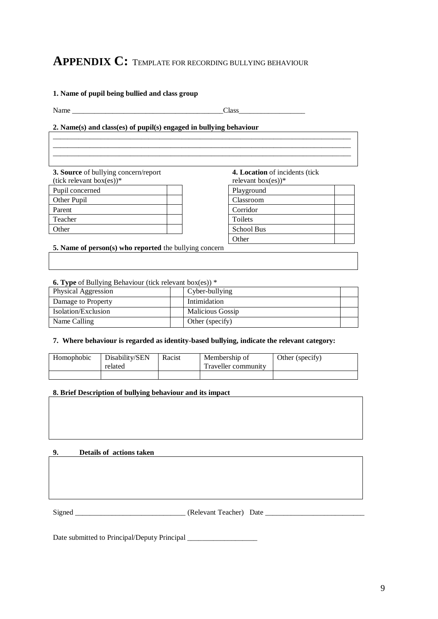## **APPENDIX C:** <sup>T</sup>EMPLATE FOR RECORDING BULLYING BEHAVIOUR

\_\_\_\_\_\_\_\_\_\_\_\_\_\_\_\_\_\_\_\_\_\_\_\_\_\_\_\_\_\_\_\_\_\_\_\_\_\_\_\_\_\_\_\_\_\_\_\_\_\_\_\_\_\_\_\_\_\_\_\_\_\_\_\_\_\_\_\_\_\_\_\_\_\_\_\_\_\_\_\_\_ \_\_\_\_\_\_\_\_\_\_\_\_\_\_\_\_\_\_\_\_\_\_\_\_\_\_\_\_\_\_\_\_\_\_\_\_\_\_\_\_\_\_\_\_\_\_\_\_\_\_\_\_\_\_\_\_\_\_\_\_\_\_\_\_\_\_\_\_\_\_\_\_\_\_\_\_\_\_\_\_\_ \_\_\_\_\_\_\_\_\_\_\_\_\_\_\_\_\_\_\_\_\_\_\_\_\_\_\_\_\_\_\_\_\_\_\_\_\_\_\_\_\_\_\_\_\_\_\_\_\_\_\_\_\_\_\_\_\_\_\_\_\_\_\_\_\_\_\_\_\_\_\_\_\_\_\_\_\_\_\_\_\_

#### **1. Name of pupil being bullied and class group**

Name Class

#### **2. Name(s) and class(es) of pupil(s) engaged in bullying behaviour**

**3. Source** of bullying concern/report (tick relevant box(es))\*

**4. Location** of incidents (tick

| Pupil concerned |  | Playground |
|-----------------|--|------------|
| Other Pupil     |  | Classroom  |
| Parent          |  | Corridor   |
| Teacher         |  | Toilets    |
| Other           |  | School Bus |

| relevant box $(es))^*$ |  |
|------------------------|--|
| Playground             |  |
| Classroom              |  |
| Corridor               |  |
| Toilets                |  |
| <b>School Bus</b>      |  |
| Other                  |  |

**5. Name of person(s) who reported** the bullying concern

#### **6. Type** of Bullying Behaviour (tick relevant box(es)) \*

| Cyber-bullying          |  |
|-------------------------|--|
| Intimidation            |  |
| <b>Malicious Gossip</b> |  |
| Other (specify)         |  |
|                         |  |

#### **7. Where behaviour is regarded as identity-based bullying, indicate the relevant category:**

| Homophobic | Disability/SEN<br>related | Racist | Membership of<br>Traveller community | Other (specify) |
|------------|---------------------------|--------|--------------------------------------|-----------------|
|            |                           |        |                                      |                 |

#### **8. Brief Description of bullying behaviour and its impact**

#### **9. Details of actions taken**

Signed \_\_\_\_\_\_\_\_\_\_\_\_\_\_\_\_\_\_\_\_\_\_\_\_\_\_\_\_\_\_ (Relevant Teacher) Date \_\_\_\_\_\_\_\_\_\_\_\_\_\_\_\_\_\_\_\_\_\_\_\_\_\_\_

Date submitted to Principal/Deputy Principal \_\_\_\_\_\_\_\_\_\_\_\_\_\_\_\_\_\_\_